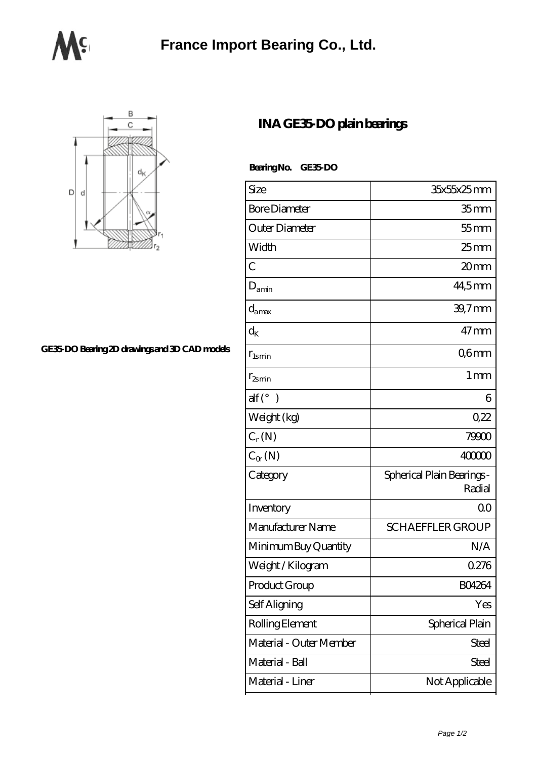



## **[GE35-DO Bearing 2D drawings and 3D CAD models](https://m.bxjit.com/pic-169755.html)**

## **[INA GE35-DO plain bearings](https://m.bxjit.com/am-169755-ina-ge35-do-plain-bearings.html)**

 **Bearing No. GE35-DO**

| Size                              | 35x55x25mm                           |
|-----------------------------------|--------------------------------------|
| <b>Bore Diameter</b>              | $35 \, \mathrm{mm}$                  |
| Outer Diameter                    | $55$ mm                              |
| Width                             | $25$ mm                              |
| $\overline{C}$                    | 20mm                                 |
| $D_{\text{amin}}$                 | 44,5mm                               |
| $d_{\text{amax}}$                 | 39,7mm                               |
| $\rm{d}_{{\scriptscriptstyle K}}$ | $47$ mm                              |
| $r_{lsmin}$                       | Q6mm                                 |
| $r_{2smin}$                       | 1 <sub>mm</sub>                      |
| $\text{alf}({}^{\circ})$          | 6                                    |
| Weight (kg)                       | 0,22                                 |
| $C_r(N)$                          | 79900                                |
| $C_{\alpha}(\mathbb{N})$          | 40000                                |
| Category                          | Spherical Plain Bearings -<br>Radial |
| Inventory                         | QO                                   |
| Manufacturer Name                 | <b>SCHAEFFLER GROUP</b>              |
| Minimum Buy Quantity              | N/A                                  |
| Weight / Kilogram                 | 0276                                 |
| Product Group                     | BO4264                               |
| Self Aligning                     | Yes                                  |
| Rolling Element                   | Spherical Plain                      |
| Material - Outer Member           | Steel                                |
| Material - Ball                   | <b>Steel</b>                         |
| Material - Liner                  | Not Applicable                       |
|                                   |                                      |